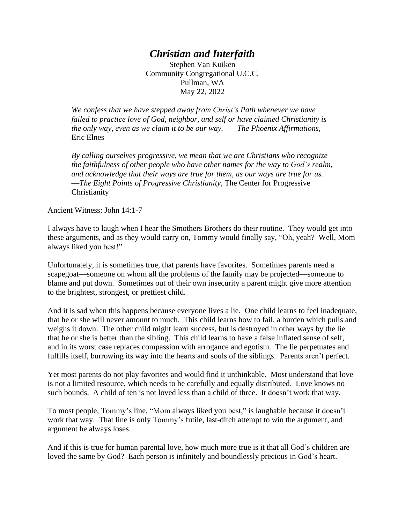## *Christian and Interfaith*

Stephen Van Kuiken Community Congregational U.C.C. Pullman, WA May 22, 2022

*We confess that we have stepped away from Christ's Path whenever we have failed to practice love of God, neighbor, and self or have claimed Christianity is the only way, even as we claim it to be our way.* — *The Phoenix Affirmations,* Eric Elnes

*By calling ourselves progressive, we mean that we are Christians who recognize the faithfulness of other people who have other names for the way to God's realm, and acknowledge that their ways are true for them, as our ways are true for us.*  —*The Eight Points of Progressive Christianity,* The Center for Progressive **Christianity** 

Ancient Witness: John 14:1-7

I always have to laugh when I hear the Smothers Brothers do their routine. They would get into these arguments, and as they would carry on, Tommy would finally say, "Oh, yeah? Well, Mom always liked you best!"

Unfortunately, it is sometimes true, that parents have favorites. Sometimes parents need a scapegoat—someone on whom all the problems of the family may be projected—someone to blame and put down. Sometimes out of their own insecurity a parent might give more attention to the brightest, strongest, or prettiest child.

And it is sad when this happens because everyone lives a lie. One child learns to feel inadequate, that he or she will never amount to much. This child learns how to fail, a burden which pulls and weighs it down. The other child might learn success, but is destroyed in other ways by the lie that he or she is better than the sibling. This child learns to have a false inflated sense of self, and in its worst case replaces compassion with arrogance and egotism. The lie perpetuates and fulfills itself, burrowing its way into the hearts and souls of the siblings. Parents aren't perfect.

Yet most parents do not play favorites and would find it unthinkable. Most understand that love is not a limited resource, which needs to be carefully and equally distributed. Love knows no such bounds. A child of ten is not loved less than a child of three. It doesn't work that way.

To most people, Tommy's line, "Mom always liked you best," is laughable because it doesn't work that way. That line is only Tommy's futile, last-ditch attempt to win the argument, and argument he always loses.

And if this is true for human parental love, how much more true is it that all God's children are loved the same by God? Each person is infinitely and boundlessly precious in God's heart.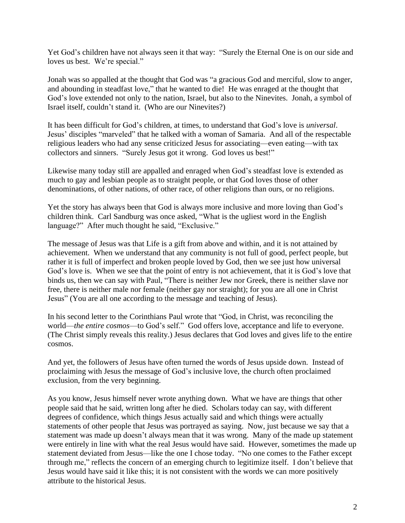Yet God's children have not always seen it that way: "Surely the Eternal One is on our side and loves us best. We're special."

Jonah was so appalled at the thought that God was "a gracious God and merciful, slow to anger, and abounding in steadfast love," that he wanted to die! He was enraged at the thought that God's love extended not only to the nation, Israel, but also to the Ninevites. Jonah, a symbol of Israel itself, couldn't stand it. (Who are our Ninevites?)

It has been difficult for God's children, at times, to understand that God's love is *universal*. Jesus' disciples "marveled" that he talked with a woman of Samaria. And all of the respectable religious leaders who had any sense criticized Jesus for associating—even eating—with tax collectors and sinners. "Surely Jesus got it wrong. God loves us best!"

Likewise many today still are appalled and enraged when God's steadfast love is extended as much to gay and lesbian people as to straight people, or that God loves those of other denominations, of other nations, of other race, of other religions than ours, or no religions.

Yet the story has always been that God is always more inclusive and more loving than God's children think. Carl Sandburg was once asked, "What is the ugliest word in the English language?" After much thought he said, "Exclusive."

The message of Jesus was that Life is a gift from above and within, and it is not attained by achievement. When we understand that any community is not full of good, perfect people, but rather it is full of imperfect and broken people loved by God, then we see just how universal God's love is. When we see that the point of entry is not achievement, that it is God's love that binds us, then we can say with Paul, "There is neither Jew nor Greek, there is neither slave nor free, there is neither male nor female (neither gay nor straight); for you are all one in Christ Jesus" (You are all one according to the message and teaching of Jesus).

In his second letter to the Corinthians Paul wrote that "God, in Christ, was reconciling the world—*the entire cosmos*—to God's self." God offers love, acceptance and life to everyone. (The Christ simply reveals this reality.) Jesus declares that God loves and gives life to the entire cosmos.

And yet, the followers of Jesus have often turned the words of Jesus upside down. Instead of proclaiming with Jesus the message of God's inclusive love, the church often proclaimed exclusion, from the very beginning.

As you know, Jesus himself never wrote anything down. What we have are things that other people said that he said, written long after he died. Scholars today can say, with different degrees of confidence, which things Jesus actually said and which things were actually statements of other people that Jesus was portrayed as saying. Now, just because we say that a statement was made up doesn't always mean that it was wrong. Many of the made up statement were entirely in line with what the real Jesus would have said. However, sometimes the made up statement deviated from Jesus—like the one I chose today. "No one comes to the Father except through me," reflects the concern of an emerging church to legitimize itself. I don't believe that Jesus would have said it like this; it is not consistent with the words we can more positively attribute to the historical Jesus.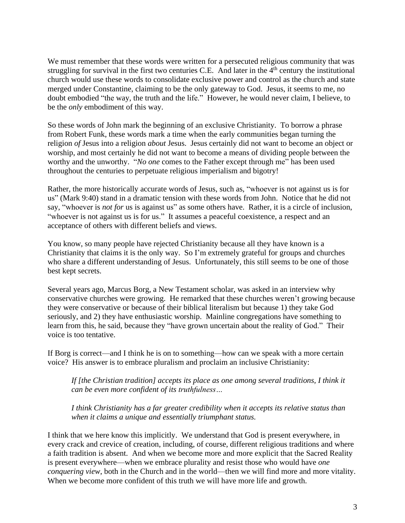We must remember that these words were written for a persecuted religious community that was struggling for survival in the first two centuries C.E. And later in the  $4<sup>th</sup>$  century the institutional church would use these words to consolidate exclusive power and control as the church and state merged under Constantine, claiming to be the only gateway to God. Jesus, it seems to me, no doubt embodied "the way, the truth and the life." However, he would never claim, I believe, to be the *only* embodiment of this way.

So these words of John mark the beginning of an exclusive Christianity. To borrow a phrase from Robert Funk, these words mark a time when the early communities began turning the religion *of* Jesus into a religion *about* Jesus. Jesus certainly did not want to become an object or worship, and most certainly he did not want to become a means of dividing people between the worthy and the unworthy. "*No one* comes to the Father except through me" has been used throughout the centuries to perpetuate religious imperialism and bigotry!

Rather, the more historically accurate words of Jesus, such as, "whoever is not against us is for us" (Mark 9:40) stand in a dramatic tension with these words from John. Notice that he did not say, "whoever is *not for* us is against us" as some others have. Rather, it is a circle of inclusion, "whoever is not against us is for us." It assumes a peaceful coexistence, a respect and an acceptance of others with different beliefs and views.

You know, so many people have rejected Christianity because all they have known is a Christianity that claims it is the only way. So I'm extremely grateful for groups and churches who share a different understanding of Jesus. Unfortunately, this still seems to be one of those best kept secrets.

Several years ago, Marcus Borg, a New Testament scholar, was asked in an interview why conservative churches were growing. He remarked that these churches weren't growing because they were conservative or because of their biblical literalism but because 1) they take God seriously, and 2) they have enthusiastic worship. Mainline congregations have something to learn from this, he said, because they "have grown uncertain about the reality of God." Their voice is too tentative.

If Borg is correct—and I think he is on to something—how can we speak with a more certain voice? His answer is to embrace pluralism and proclaim an inclusive Christianity:

*If [the Christian tradition] accepts its place as one among several traditions, I think it can be even more confident of its truthfulness…*

*I think Christianity has a far greater credibility when it accepts its relative status than when it claims a unique and essentially triumphant status.*

I think that we here know this implicitly. We understand that God is present everywhere, in every crack and crevice of creation, including, of course, different religious traditions and where a faith tradition is absent. And when we become more and more explicit that the Sacred Reality is present everywhere—when we embrace plurality and resist those who would have *one conquering view*, both in the Church and in the world—then we will find more and more vitality. When we become more confident of this truth we will have more life and growth.